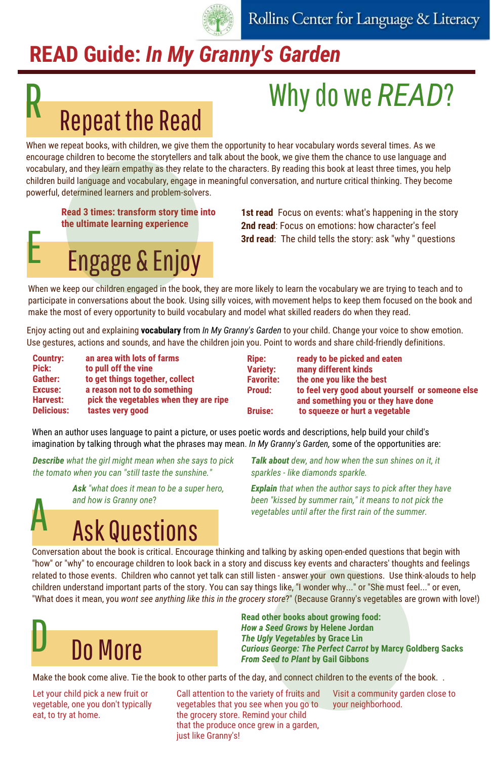

# **READ Guide: In My Granny's Garden**

### Why do we *READ*?

# **Repeat the Read**

When we repeat books, with children, we give them the opportunity to hear vocabulary words several times. As we encourage children to become the storytellers and talk about the book, we give them the chance to use language and vocabulary, and they learn empathy as they relate to the characters. By reading this book at least three times, you help children build language and vocabulary, engage in meaningful conversation, and nurture critical thinking. They become powerful, determined learners and problem-solvers.

#### **Read 3 times: transform story time into the ultimate learning experience**

## **Engage & Enjoy**<br> **3rd read**: The child tells the story: ask "why " questions 3rd read: The child tells the story: ask "why " questions

**1st read** Focus on events: what's happening in the story **2nd read**: Focus on emotions: how character's feel

When we keep our children engaged in the book, they are more likely to learn the vocabulary we are trying to teach and to participate in conversations about the book. Using silly voices, with movement helps to keep them focused on the book and make the most of every opportunity to build vocabulary and model what skilled readers do when they read.

Enjoy acting out and explaining **vocabulary** from *In My Granny's Garden* to your child. Change your voice to show emotion. Use gestures, actions and sounds, and have the children join you. Point to words and share child-friendly definitions.

| <b>Country:</b>   | an area with lots of farms             |
|-------------------|----------------------------------------|
| Pick:             | to pull off the vine                   |
| Gather:           | to get things together, collect        |
| <b>Excuse:</b>    | a reason not to do something           |
| <b>Harvest:</b>   | pick the vegetables when they are ripe |
| <b>Delicious:</b> | tastes very good                       |

| Ripe:            |
|------------------|
| <b>Variety:</b>  |
| <b>Favorite:</b> |
| <b>Proud:</b>    |
|                  |
| <b>Bruise:</b>   |

**ready to be picked and eaten many different kinds the one you like the best to feel very good about yourself or someone else and something you or they have done to squeeze or hurt a vegetable**

When an author uses language to paint a picture, or uses poetic words and descriptions, help build your child's imagination by talking through what the phrases may mean. *In My Granny's Garden,* some of the opportunities are:

*Describe what the girl might mean when she says to pick the tomato when you can "still taste the sunshine."*

> *Ask "what does it mean to be a super hero, and how is Granny one*?

## **Ask Questions**

*Talk about dew, and how when the sun shines on it, it sparkles - like diamonds sparkle.*

*Explain that when the author says to pick after they have been "kissed by summer rain," it means to not pick the vegetables until after the first rain of the summer.*

Conversation about the book is critical. Encourage thinking and talking by asking open-ended questions that begin with "how" or "why" to encourage children to look back in a story and discuss key events and characters' thoughts and feelings related to those events. Children who cannot yet talk can still listen - answer your own questions. Use think-alouds to help children understand important parts of the story. You can say things like, "I wonder why..." or "She must feel..." or even, "What does it mean, you *wont see anything like this in the grocery store*?" (Because Granny's vegetables are grown with love!)



**Read other books about growing food:** *How a Seed Grows* **by Helene Jordan** *The Ugly Vegetables* **by Grace Lin** *Curious George: The Perfect Carrot* **by Marcy Goldberg Sacks** *From Seed to Plant* **by Gail Gibbons**

Make the book come alive. Tie the book to other parts of the day, and connect children to the events of the book..

Let your child pick a new fruit or vegetable, one you don't typically eat, to try at home.

Call attention to the variety of fruits and vegetables that you see when you go to the grocery store. Remind your child that the produce once grew in a garden, just like Granny's!

Visit a community garden close to your neighborhood.